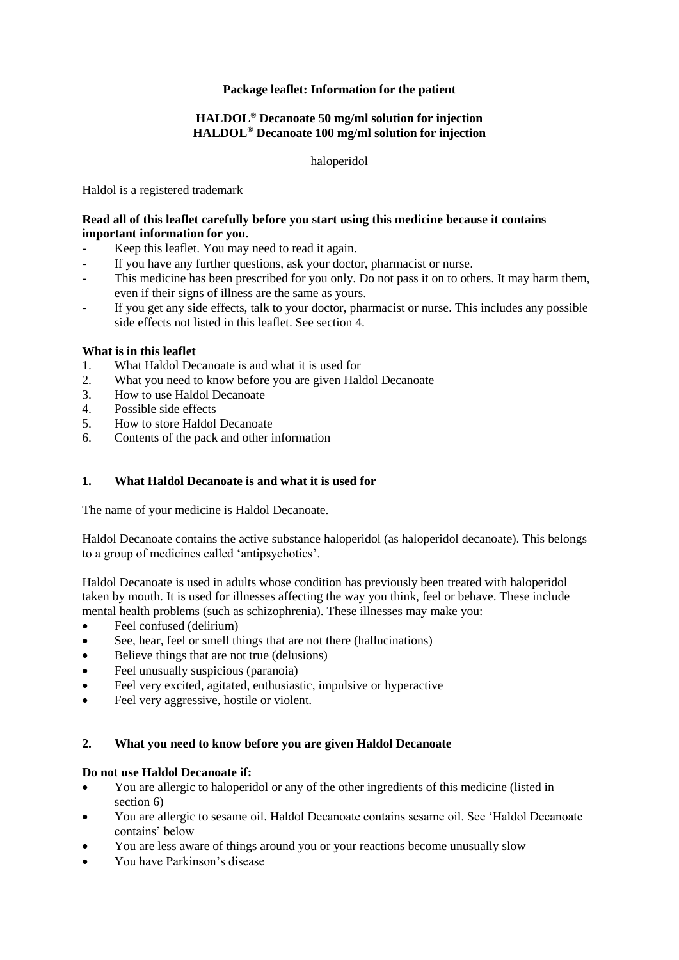# **Package leaflet: Information for the patient**

## **HALDOL® Decanoate 50 mg/ml solution for injection HALDOL® Decanoate 100 mg/ml solution for injection**

haloperidol

Haldol is a registered trademark

## **Read all of this leaflet carefully before you start using this medicine because it contains important information for you.**

- Keep this leaflet. You may need to read it again.
- If you have any further questions, ask your doctor, pharmacist or nurse.
- This medicine has been prescribed for you only. Do not pass it on to others. It may harm them, even if their signs of illness are the same as yours.
- If you get any side effects, talk to your doctor, pharmacist or nurse. This includes any possible side effects not listed in this leaflet. See section 4.

# **What is in this leaflet**

- 1. What Haldol Decanoate is and what it is used for
- 2. What you need to know before you are given Haldol Decanoate
- 3. How to use Haldol Decanoate
- 4. Possible side effects
- 5. How to store Haldol Decanoate
- 6. Contents of the pack and other information

# **1. What Haldol Decanoate is and what it is used for**

The name of your medicine is Haldol Decanoate.

Haldol Decanoate contains the active substance haloperidol (as haloperidol decanoate). This belongs to a group of medicines called 'antipsychotics'.

Haldol Decanoate is used in adults whose condition has previously been treated with haloperidol taken by mouth. It is used for illnesses affecting the way you think, feel or behave. These include mental health problems (such as schizophrenia). These illnesses may make you:

- Feel confused (delirium)
- See, hear, feel or smell things that are not there (hallucinations)
- Believe things that are not true (delusions)
- Feel unusually suspicious (paranoia)
- Feel very excited, agitated, enthusiastic, impulsive or hyperactive
- Feel very aggressive, hostile or violent.

## **2. What you need to know before you are given Haldol Decanoate**

## **Do not use Haldol Decanoate if:**

- You are allergic to haloperidol or any of the other ingredients of this medicine (listed in section 6)
- You are allergic to sesame oil. Haldol Decanoate contains sesame oil. See 'Haldol Decanoate contains' below
- You are less aware of things around you or your reactions become unusually slow
- You have Parkinson's disease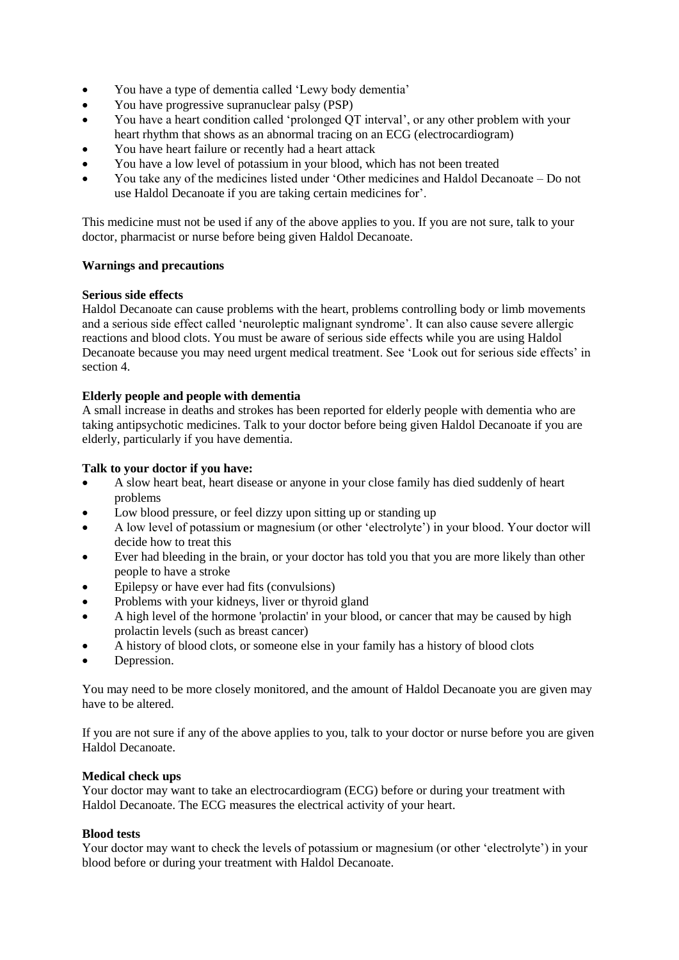- You have a type of dementia called 'Lewy body dementia'
- You have progressive supranuclear palsy (PSP)
- You have a heart condition called 'prolonged QT interval', or any other problem with your heart rhythm that shows as an abnormal tracing on an ECG (electrocardiogram)
- You have heart failure or recently had a heart attack
- You have a low level of potassium in your blood, which has not been treated
- You take any of the medicines listed under 'Other medicines and Haldol Decanoate Do not use Haldol Decanoate if you are taking certain medicines for'.

This medicine must not be used if any of the above applies to you. If you are not sure, talk to your doctor, pharmacist or nurse before being given Haldol Decanoate.

## **Warnings and precautions**

## **Serious side effects**

Haldol Decanoate can cause problems with the heart, problems controlling body or limb movements and a serious side effect called 'neuroleptic malignant syndrome'. It can also cause severe allergic reactions and blood clots. You must be aware of serious side effects while you are using Haldol Decanoate because you may need urgent medical treatment. See 'Look out for serious side effects' in section 4.

## **Elderly people and people with dementia**

A small increase in deaths and strokes has been reported for elderly people with dementia who are taking antipsychotic medicines. Talk to your doctor before being given Haldol Decanoate if you are elderly, particularly if you have dementia.

## **Talk to your doctor if you have:**

- A slow heart beat, heart disease or anyone in your close family has died suddenly of heart problems
- Low blood pressure, or feel dizzy upon sitting up or standing up
- A low level of potassium or magnesium (or other 'electrolyte') in your blood. Your doctor will decide how to treat this
- Ever had bleeding in the brain, or your doctor has told you that you are more likely than other people to have a stroke
- Epilepsy or have ever had fits (convulsions)
- Problems with your kidneys, liver or thyroid gland
- A high level of the hormone 'prolactin' in your blood, or cancer that may be caused by high prolactin levels (such as breast cancer)
- A history of blood clots, or someone else in your family has a history of blood clots
- Depression.

You may need to be more closely monitored, and the amount of Haldol Decanoate you are given may have to be altered.

If you are not sure if any of the above applies to you, talk to your doctor or nurse before you are given Haldol Decanoate.

## **Medical check ups**

Your doctor may want to take an electrocardiogram (ECG) before or during your treatment with Haldol Decanoate. The ECG measures the electrical activity of your heart.

## **Blood tests**

Your doctor may want to check the levels of potassium or magnesium (or other 'electrolyte') in your blood before or during your treatment with Haldol Decanoate.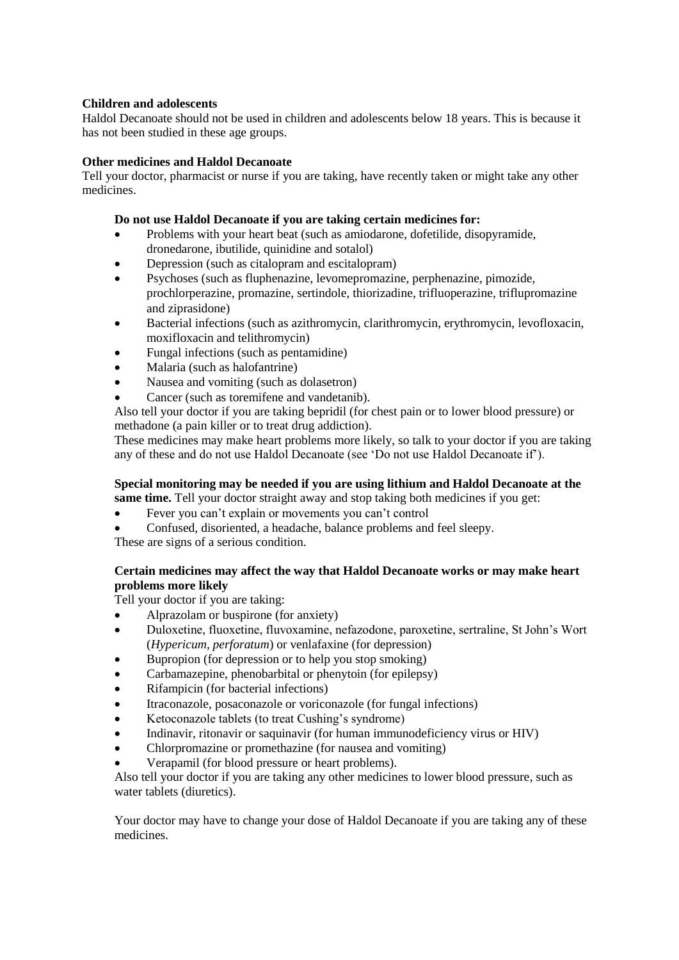# **Children and adolescents**

Haldol Decanoate should not be used in children and adolescents below 18 years. This is because it has not been studied in these age groups.

# **Other medicines and Haldol Decanoate**

Tell your doctor, pharmacist or nurse if you are taking, have recently taken or might take any other medicines.

# **Do not use Haldol Decanoate if you are taking certain medicines for:**

- Problems with your heart beat (such as amiodarone, dofetilide, disopyramide, dronedarone, ibutilide, quinidine and sotalol)
- Depression (such as citalopram and escitalopram)
- Psychoses (such as fluphenazine, levomepromazine, perphenazine, pimozide, prochlorperazine, promazine, sertindole, thiorizadine, trifluoperazine, triflupromazine and ziprasidone)
- Bacterial infections (such as azithromycin, clarithromycin, erythromycin, levofloxacin, moxifloxacin and telithromycin)
- Fungal infections (such as pentamidine)
- Malaria (such as halofantrine)
- Nausea and vomiting (such as dolasetron)
- Cancer (such as toremifene and vandetanib).

Also tell your doctor if you are taking bepridil (for chest pain or to lower blood pressure) or methadone (a pain killer or to treat drug addiction).

These medicines may make heart problems more likely, so talk to your doctor if you are taking any of these and do not use Haldol Decanoate (see 'Do not use Haldol Decanoate if').

# **Special monitoring may be needed if you are using lithium and Haldol Decanoate at the**

- **same time.** Tell your doctor straight away and stop taking both medicines if you get:
- Fever you can't explain or movements you can't control
- Confused, disoriented, a headache, balance problems and feel sleepy.

These are signs of a serious condition.

# **Certain medicines may affect the way that Haldol Decanoate works or may make heart problems more likely**

Tell your doctor if you are taking:

- Alprazolam or buspirone (for anxiety)
- Duloxetine, fluoxetine, fluvoxamine, nefazodone, paroxetine, sertraline, St John's Wort (*Hypericum, perforatum*) or venlafaxine (for depression)
- Bupropion (for depression or to help you stop smoking)
- Carbamazepine, phenobarbital or phenytoin (for epilepsy)
- Rifampicin (for bacterial infections)
- Itraconazole, posaconazole or voriconazole (for fungal infections)
- Ketoconazole tablets (to treat Cushing's syndrome)
- Indinavir, ritonavir or saquinavir (for human immunodeficiency virus or HIV)
- Chlorpromazine or promethazine (for nausea and vomiting)
- Verapamil (for blood pressure or heart problems).

Also tell your doctor if you are taking any other medicines to lower blood pressure, such as water tablets (diuretics).

Your doctor may have to change your dose of Haldol Decanoate if you are taking any of these medicines.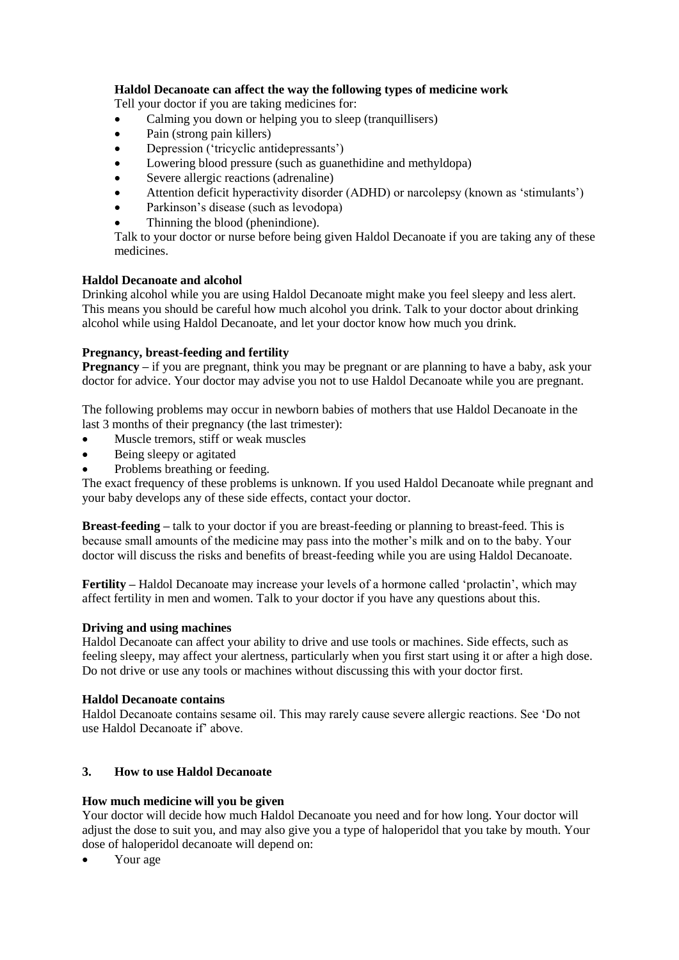# **Haldol Decanoate can affect the way the following types of medicine work**

Tell your doctor if you are taking medicines for:

- Calming you down or helping you to sleep (tranquillisers)
- Pain (strong pain killers)
- Depression ('tricyclic antidepressants')
- Lowering blood pressure (such as guanethidine and methyldopa)
- Severe allergic reactions (adrenaline)
- Attention deficit hyperactivity disorder (ADHD) or narcolepsy (known as 'stimulants')
- Parkinson's disease (such as levodopa)
- Thinning the blood (phenindione).

Talk to your doctor or nurse before being given Haldol Decanoate if you are taking any of these medicines.

## **Haldol Decanoate and alcohol**

Drinking alcohol while you are using Haldol Decanoate might make you feel sleepy and less alert. This means you should be careful how much alcohol you drink. Talk to your doctor about drinking alcohol while using Haldol Decanoate, and let your doctor know how much you drink.

## **Pregnancy, breast-feeding and fertility**

**Pregnancy** – if you are pregnant, think you may be pregnant or are planning to have a baby, ask your doctor for advice. Your doctor may advise you not to use Haldol Decanoate while you are pregnant.

The following problems may occur in newborn babies of mothers that use Haldol Decanoate in the last 3 months of their pregnancy (the last trimester):

- Muscle tremors, stiff or weak muscles
- Being sleepy or agitated
- Problems breathing or feeding.

The exact frequency of these problems is unknown. If you used Haldol Decanoate while pregnant and your baby develops any of these side effects, contact your doctor.

**Breast-feeding –** talk to your doctor if you are breast-feeding or planning to breast-feed. This is because small amounts of the medicine may pass into the mother's milk and on to the baby. Your doctor will discuss the risks and benefits of breast-feeding while you are using Haldol Decanoate.

**Fertility –** Haldol Decanoate may increase your levels of a hormone called 'prolactin', which may affect fertility in men and women. Talk to your doctor if you have any questions about this.

## **Driving and using machines**

Haldol Decanoate can affect your ability to drive and use tools or machines. Side effects, such as feeling sleepy, may affect your alertness, particularly when you first start using it or after a high dose. Do not drive or use any tools or machines without discussing this with your doctor first.

# **Haldol Decanoate contains**

Haldol Decanoate contains sesame oil. This may rarely cause severe allergic reactions. See 'Do not use Haldol Decanoate if' above.

# **3. How to use Haldol Decanoate**

## **How much medicine will you be given**

Your doctor will decide how much Haldol Decanoate you need and for how long. Your doctor will adjust the dose to suit you, and may also give you a type of haloperidol that you take by mouth. Your dose of haloperidol decanoate will depend on:

• Your age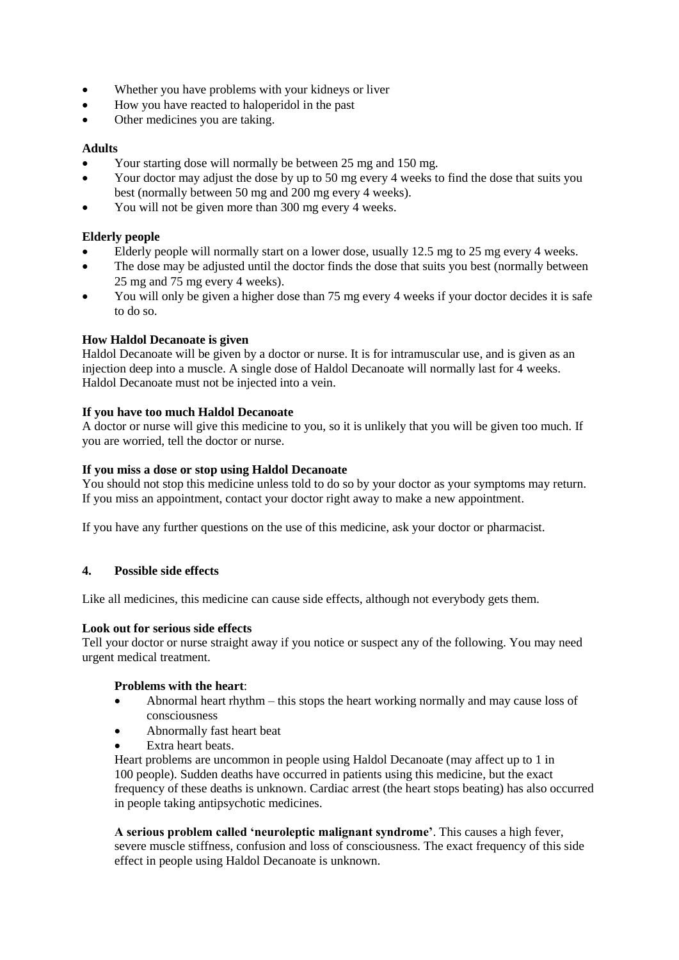- Whether you have problems with your kidneys or liver
- How you have reacted to haloperidol in the past
- Other medicines you are taking.

# **Adults**

- Your starting dose will normally be between 25 mg and 150 mg.
- Your doctor may adjust the dose by up to 50 mg every 4 weeks to find the dose that suits you best (normally between 50 mg and 200 mg every 4 weeks).
- You will not be given more than 300 mg every 4 weeks.

# **Elderly people**

- Elderly people will normally start on a lower dose, usually 12.5 mg to 25 mg every 4 weeks.
- The dose may be adjusted until the doctor finds the dose that suits you best (normally between 25 mg and 75 mg every 4 weeks).
- You will only be given a higher dose than 75 mg every 4 weeks if your doctor decides it is safe to do so.

# **How Haldol Decanoate is given**

Haldol Decanoate will be given by a doctor or nurse. It is for intramuscular use, and is given as an injection deep into a muscle. A single dose of Haldol Decanoate will normally last for 4 weeks. Haldol Decanoate must not be injected into a vein.

# **If you have too much Haldol Decanoate**

A doctor or nurse will give this medicine to you, so it is unlikely that you will be given too much. If you are worried, tell the doctor or nurse.

# **If you miss a dose or stop using Haldol Decanoate**

You should not stop this medicine unless told to do so by your doctor as your symptoms may return. If you miss an appointment, contact your doctor right away to make a new appointment.

If you have any further questions on the use of this medicine, ask your doctor or pharmacist.

# **4. Possible side effects**

Like all medicines, this medicine can cause side effects, although not everybody gets them.

# **Look out for serious side effects**

Tell your doctor or nurse straight away if you notice or suspect any of the following. You may need urgent medical treatment.

## **Problems with the heart**:

- Abnormal heart rhythm this stops the heart working normally and may cause loss of consciousness
- Abnormally fast heart beat
- Extra heart beats.

Heart problems are uncommon in people using Haldol Decanoate (may affect up to 1 in 100 people). Sudden deaths have occurred in patients using this medicine, but the exact frequency of these deaths is unknown. Cardiac arrest (the heart stops beating) has also occurred in people taking antipsychotic medicines.

**A serious problem called 'neuroleptic malignant syndrome'**. This causes a high fever, severe muscle stiffness, confusion and loss of consciousness. The exact frequency of this side effect in people using Haldol Decanoate is unknown.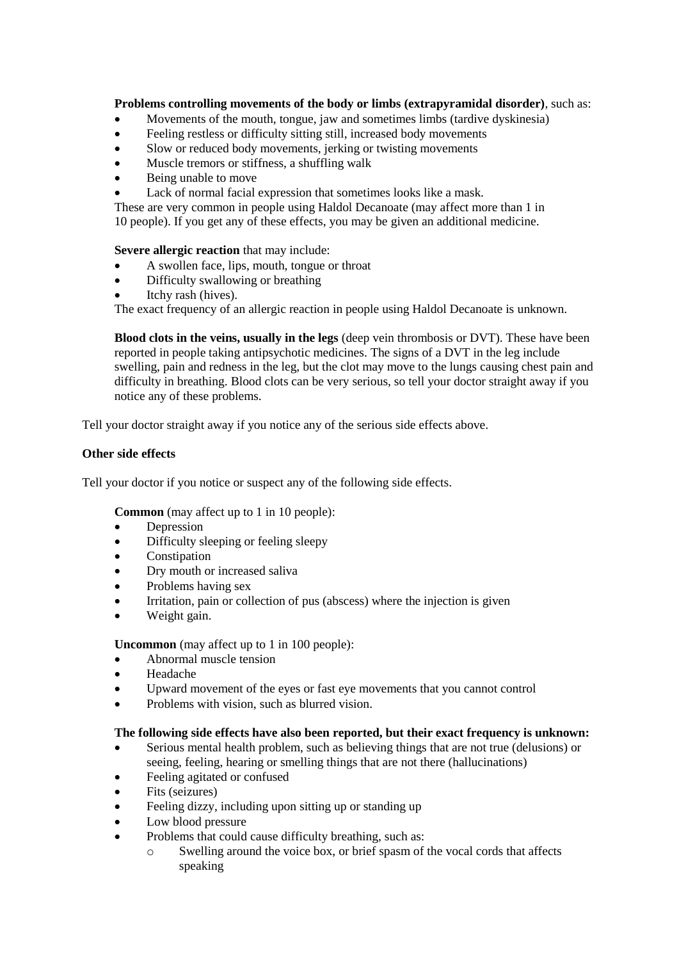# **Problems controlling movements of the body or limbs (extrapyramidal disorder)**, such as:

- Movements of the mouth, tongue, jaw and sometimes limbs (tardive dyskinesia)
- Feeling restless or difficulty sitting still, increased body movements
- Slow or reduced body movements, jerking or twisting movements
- Muscle tremors or stiffness, a shuffling walk
- Being unable to move
- Lack of normal facial expression that sometimes looks like a mask.

These are very common in people using Haldol Decanoate (may affect more than 1 in 10 people). If you get any of these effects, you may be given an additional medicine.

**Severe allergic reaction** that may include:

- A swollen face, lips, mouth, tongue or throat
- Difficulty swallowing or breathing
- Itchy rash (hives).

The exact frequency of an allergic reaction in people using Haldol Decanoate is unknown.

**Blood clots in the veins, usually in the legs** (deep vein thrombosis or DVT). These have been reported in people taking antipsychotic medicines. The signs of a DVT in the leg include swelling, pain and redness in the leg, but the clot may move to the lungs causing chest pain and difficulty in breathing. Blood clots can be very serious, so tell your doctor straight away if you notice any of these problems.

Tell your doctor straight away if you notice any of the serious side effects above.

## **Other side effects**

Tell your doctor if you notice or suspect any of the following side effects.

**Common** (may affect up to 1 in 10 people):

- Depression
- Difficulty sleeping or feeling sleepy
- Constipation
- Dry mouth or increased saliva
- Problems having sex
- Irritation, pain or collection of pus (abscess) where the injection is given
- Weight gain.

**Uncommon** (may affect up to 1 in 100 people):

- Abnormal muscle tension
- Headache
- Upward movement of the eyes or fast eye movements that you cannot control
- Problems with vision, such as blurred vision.

## **The following side effects have also been reported, but their exact frequency is unknown:**

- Serious mental health problem, such as believing things that are not true (delusions) or seeing, feeling, hearing or smelling things that are not there (hallucinations)
- Feeling agitated or confused
- Fits (seizures)
- Feeling dizzy, including upon sitting up or standing up
- Low blood pressure
- Problems that could cause difficulty breathing, such as:
	- o Swelling around the voice box, or brief spasm of the vocal cords that affects speaking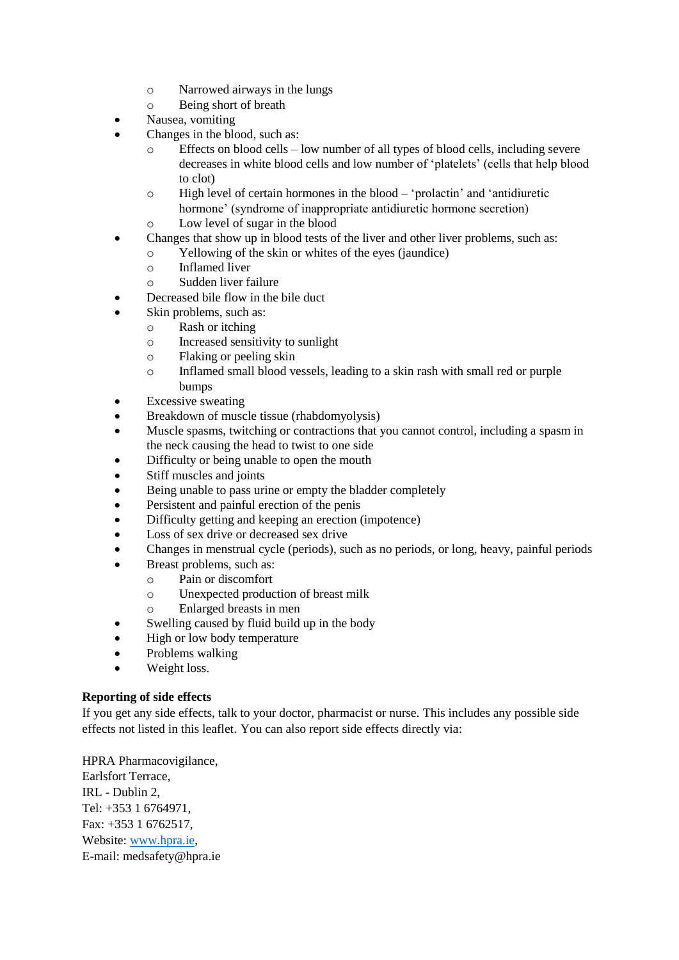- o Narrowed airways in the lungs
- o Being short of breath
- Nausea, vomiting
- Changes in the blood, such as:
	- o Effects on blood cells low number of all types of blood cells, including severe decreases in white blood cells and low number of 'platelets' (cells that help blood to clot)
	- o High level of certain hormones in the blood 'prolactin' and 'antidiuretic hormone' (syndrome of inappropriate antidiuretic hormone secretion) o Low level of sugar in the blood
- Changes that show up in blood tests of the liver and other liver problems, such as:
	- o Yellowing of the skin or whites of the eyes (jaundice)
		- o Inflamed liver
		- o Sudden liver failure
- Decreased bile flow in the bile duct
- Skin problems, such as:
	- o Rash or itching
		- o Increased sensitivity to sunlight
		- o Flaking or peeling skin
		- o Inflamed small blood vessels, leading to a skin rash with small red or purple bumps
- Excessive sweating
- Breakdown of muscle tissue (rhabdomyolysis)
- Muscle spasms, twitching or contractions that you cannot control, including a spasm in the neck causing the head to twist to one side
- Difficulty or being unable to open the mouth
- Stiff muscles and joints
- Being unable to pass urine or empty the bladder completely
- Persistent and painful erection of the penis
- Difficulty getting and keeping an erection (impotence)
- Loss of sex drive or decreased sex drive
- Changes in menstrual cycle (periods), such as no periods, or long, heavy, painful periods
- Breast problems, such as:
	- o Pain or discomfort
	- o Unexpected production of breast milk
	- o Enlarged breasts in men
- Swelling caused by fluid build up in the body
- High or low body temperature
- Problems walking
- Weight loss.

# **Reporting of side effects**

If you get any side effects, talk to your doctor, pharmacist or nurse. This includes any possible side effects not listed in this leaflet. You can also report side effects directly via:

HPRA Pharmacovigilance, Earlsfort Terrace, IRL - Dublin 2, Tel: +353 1 6764971, Fax: +353 1 6762517, Website: [www.hpra.ie,](http://www.hpra.ie/) E-mail: medsafety@hpra.ie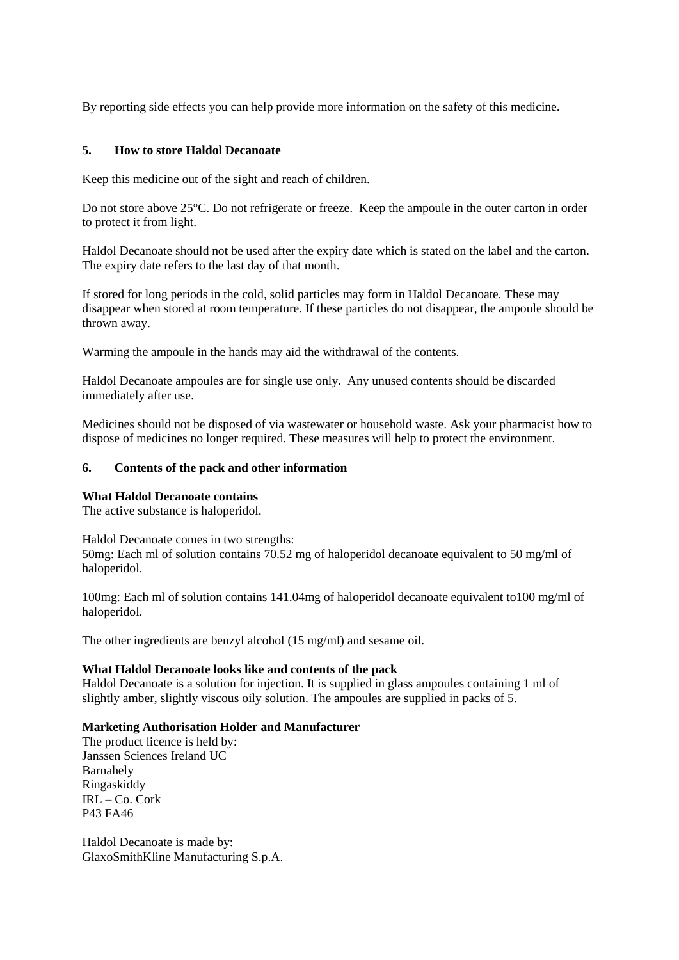By reporting side effects you can help provide more information on the safety of this medicine.

# **5. How to store Haldol Decanoate**

Keep this medicine out of the sight and reach of children.

Do not store above 25°C. Do not refrigerate or freeze. Keep the ampoule in the outer carton in order to protect it from light.

Haldol Decanoate should not be used after the expiry date which is stated on the label and the carton. The expiry date refers to the last day of that month.

If stored for long periods in the cold, solid particles may form in Haldol Decanoate. These may disappear when stored at room temperature. If these particles do not disappear, the ampoule should be thrown away.

Warming the ampoule in the hands may aid the withdrawal of the contents.

Haldol Decanoate ampoules are for single use only. Any unused contents should be discarded immediately after use.

Medicines should not be disposed of via wastewater or household waste. Ask your pharmacist how to dispose of medicines no longer required. These measures will help to protect the environment.

# **6. Contents of the pack and other information**

## **What Haldol Decanoate contains**

The active substance is haloperidol.

Haldol Decanoate comes in two strengths: 50mg: Each ml of solution contains 70.52 mg of haloperidol decanoate equivalent to 50 mg/ml of haloperidol.

100mg: Each ml of solution contains 141.04mg of haloperidol decanoate equivalent to100 mg/ml of haloperidol.

The other ingredients are benzyl alcohol (15 mg/ml) and sesame oil.

## **What Haldol Decanoate looks like and contents of the pack**

Haldol Decanoate is a solution for injection. It is supplied in glass ampoules containing 1 ml of slightly amber, slightly viscous oily solution. The ampoules are supplied in packs of 5.

## **Marketing Authorisation Holder and Manufacturer**

The product licence is held by: Janssen Sciences Ireland UC Barnahely Ringaskiddy IRL – Co. Cork P43 FA46

Haldol Decanoate is made by: GlaxoSmithKline Manufacturing S.p.A.